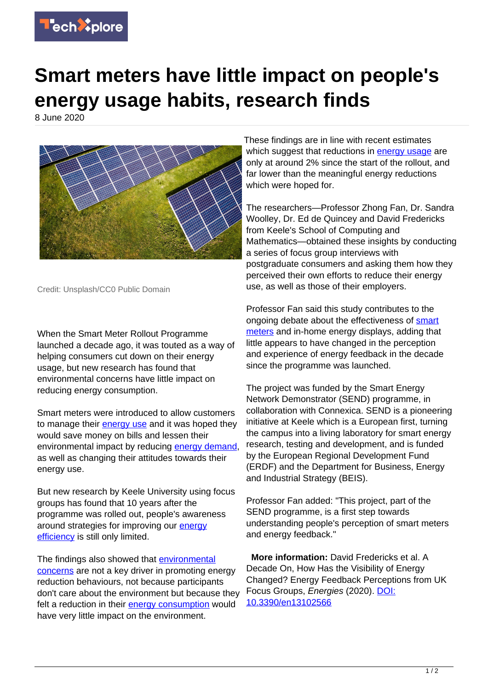

## **Smart meters have little impact on people's energy usage habits, research finds**

8 June 2020



Credit: Unsplash/CC0 Public Domain

When the Smart Meter Rollout Programme launched a decade ago, it was touted as a way of helping consumers cut down on their energy usage, but new research has found that environmental concerns have little impact on reducing energy consumption.

Smart meters were introduced to allow customers to manage their **[energy use](https://techxplore.com/tags/energy+use/)** and it was hoped they would save money on bills and lessen their environmental impact by reducing [energy demand](https://techxplore.com/tags/energy+demand/), as well as changing their attitudes towards their energy use.

But new research by Keele University using focus groups has found that 10 years after the programme was rolled out, people's awareness around strategies for improving our **[energy](https://techxplore.com/tags/energy+efficiency/)** [efficiency](https://techxplore.com/tags/energy+efficiency/) is still only limited.

The findings also showed that **[environmental](https://techxplore.com/tags/environmental+concerns/)** [concerns](https://techxplore.com/tags/environmental+concerns/) are not a key driver in promoting energy reduction behaviours, not because participants don't care about the environment but because they felt a reduction in their [energy consumption](https://techxplore.com/tags/energy+consumption/) would have very little impact on the environment.

These findings are in line with recent estimates which suggest that reductions in [energy usage](https://techxplore.com/tags/energy+usage/) are only at around 2% since the start of the rollout, and far lower than the meaningful energy reductions which were hoped for.

The researchers—Professor Zhong Fan, Dr. Sandra Woolley, Dr. Ed de Quincey and David Fredericks from Keele's School of Computing and Mathematics—obtained these insights by conducting a series of focus group interviews with postgraduate consumers and asking them how they perceived their own efforts to reduce their energy use, as well as those of their employers.

Professor Fan said this study contributes to the ongoing debate about the effectiveness of [smart](https://techxplore.com/tags/smart+meters/) [meters](https://techxplore.com/tags/smart+meters/) and in-home energy displays, adding that little appears to have changed in the perception and experience of energy feedback in the decade since the programme was launched.

The project was funded by the Smart Energy Network Demonstrator (SEND) programme, in collaboration with Connexica. SEND is a pioneering initiative at Keele which is a European first, turning the campus into a living laboratory for smart energy research, testing and development, and is funded by the European Regional Development Fund (ERDF) and the Department for Business, Energy and Industrial Strategy (BEIS).

Professor Fan added: "This project, part of the SEND programme, is a first step towards understanding people's perception of smart meters and energy feedback."

 **More information:** David Fredericks et al. A Decade On, How Has the Visibility of Energy Changed? Energy Feedback Perceptions from UK Focus Groups, Energies (2020). [DOI:](http://dx.doi.org/10.3390/en13102566) [10.3390/en13102566](http://dx.doi.org/10.3390/en13102566)